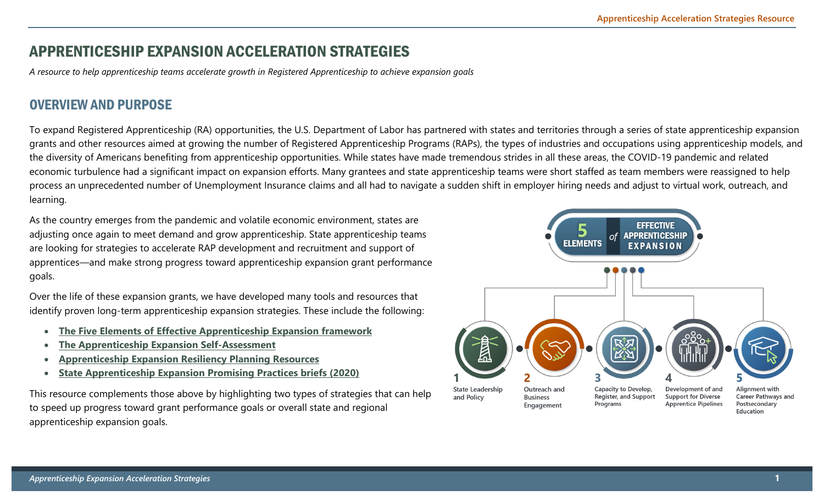#### APPRENTICESHIP EXPANSION ACCELERATION STRATEGIES

*A resource to help apprenticeship teams accelerate growth in Registered Apprenticeship to achieve expansion goals* 

#### OVERVIEW AND PURPOSE

To expand Registered Apprenticeship (RA) opportunities, the U.S. Department of Labor has partnered with states and territories through a series of state apprenticeship expansion grants and other resources aimed at growing the number of Registered Apprenticeship Programs (RAPs), the types of industries and occupations using apprenticeship models, and the diversity of Americans benefiting from apprenticeship opportunities. While states have made tremendous strides in all these areas, the COVID-19 pandemic and related economic turbulence had a significant impact on expansion efforts. Many grantees and state apprenticeship teams were short staffed as team members were reassigned to help process an unprecedented number of Unemployment Insurance claims and all had to navigate a sudden shift in employer hiring needs and adjust to virtual work, outreach, and learning.

As the country emerges from the pandemic and volatile economic environment, states are adjusting once again to meet demand and grow apprenticeship. State apprenticeship teams are looking for strategies to accelerate RAP development and recruitment and support of apprentices—and make strong progress toward apprenticeship expansion grant performance goals.

Over the life of these expansion grants, we have developed many tools and resources that identify proven long-term apprenticeship expansion strategies. These include the following:

- **[The Five Elements of Effective Apprenticeship Expansion framework](https://ase.workforcegps.org/resources/2019/09/29/17/55/Elements-of-Apprenticeship-Expansion)**
- **[The Apprenticeship Expansion Self-Assessment](https://ase.workforcegps.org/resources/2019/09/27/15/00/Apprenticeship-Expansion-Assessment)**
- **[Apprenticeship Expansion Resiliency Planning Resources](https://ase.workforcegps.org/resources/2020/10/20/17/22/Apprenticeship-Expansion-Resiliency-Planning-Resources)**
- **[State Apprenticeship Expansion Promising Practices briefs \(2020\)](https://ase.workforcegps.org/resources/2020/07/29/14/23/State-Apprenticeship-Expansion-Promising-Practices)**

This resource complements those above by highlighting two types of strategies that can help to speed up progress toward grant performance goals or overall state and regional apprenticeship expansion goals.

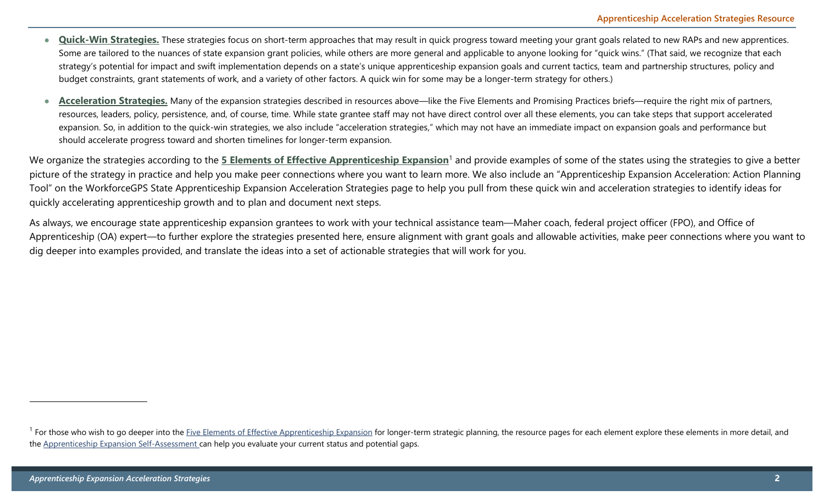- **Quick-Win Strategies.** These strategies focus on short-term approaches that may result in quick progress toward meeting your grant goals related to new RAPs and new apprentices. Some are tailored to the nuances of state expansion grant policies, while others are more general and applicable to anyone looking for "quick wins." (That said, we recognize that each strategy's potential for impact and swift implementation depends on a state's unique apprenticeship expansion goals and current tactics, team and partnership structures, policy and budget constraints, grant statements of work, and a variety of other factors. A quick win for some may be a longer-term strategy for others.)
- Acceleration Strategies. Many of the expansion strategies described in resources above—like the Five Elements and Promising Practices briefs—require the right mix of partners, resources, leaders, policy, persistence, and, of course, time. While state grantee staff may not have direct control over all these elements, you can take steps that support accelerated expansion. So, in addition to the quick-win strategies, we also include "acceleration strategies," which may not have an immediate impact on expansion goals and performance but should accelerate progress toward and shorten timelines for longer-term expansion.

We organize the strategies according to the [5 Elements of Effective Apprenticeship Expansion](https://ase.workforcegps.org/resources/2019/09/29/17/55/Elements-of-Apprenticeship-Expansion)<sup>1</sup> and provide examples of some of the states using the strategies to give a better picture of the strategy in practice and help you make peer connections where you want to learn more. We also include an "Apprenticeship Expansion Acceleration: Action Planning Tool" on the WorkforceGPS State Apprenticeship Expansion Acceleration Strategies page to help you pull from these quick win and acceleration strategies to identify ideas for quickly accelerating apprenticeship growth and to plan and document next steps.

As always, we encourage state apprenticeship expansion grantees to work with your technical assistance team—Maher coach, federal project officer (FPO), and Office of Apprenticeship (OA) expert—to further explore the strategies presented here, ensure alignment with grant goals and allowable activities, make peer connections where you want to dig deeper into examples provided, and translate the ideas into a set of actionable strategies that will work for you.

<sup>&</sup>lt;sup>1</sup> For those who wish to go deeper into the *Five Elements of Effective Apprenticeship Expansion* for longer-term strategic planning, the resource pages for each element explore these elements in more detail, and the [Apprenticeship Expansion Self-Assessment c](https://ase.workforcegps.org/resources/2019/09/27/15/00/Apprenticeship-Expansion-Assessment)an help you evaluate your current status and potential gaps.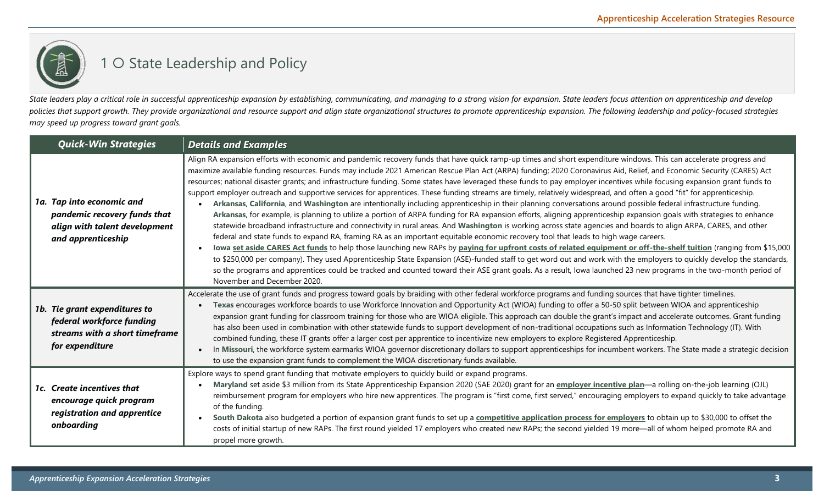### 1 O State Leadership and Policy

*State leaders play a critical role in successful apprenticeship expansion by establishing, communicating, and managing to a strong vision for expansion. State leaders focus attention on apprenticeship and develop policies that support growth. They provide organizational and resource support and align state organizational structures to promote apprenticeship expansion. The following leadership and policy-focused strategies may speed up progress toward grant goals.* 

| <b>Quick-Win Strategies</b>                                                                                      | <b>Details and Examples</b>                                                                                                                                                                                                                                                                                                                                                                                                                                                                                                                                                                                                                                                                                                                                                                                                                                                                                                                                                                                                                                                                                                                                                                                                                                                                                                                                                                                                                                                                                                                                                                                                                                                                                                                                                                                                                                                                           |
|------------------------------------------------------------------------------------------------------------------|-------------------------------------------------------------------------------------------------------------------------------------------------------------------------------------------------------------------------------------------------------------------------------------------------------------------------------------------------------------------------------------------------------------------------------------------------------------------------------------------------------------------------------------------------------------------------------------------------------------------------------------------------------------------------------------------------------------------------------------------------------------------------------------------------------------------------------------------------------------------------------------------------------------------------------------------------------------------------------------------------------------------------------------------------------------------------------------------------------------------------------------------------------------------------------------------------------------------------------------------------------------------------------------------------------------------------------------------------------------------------------------------------------------------------------------------------------------------------------------------------------------------------------------------------------------------------------------------------------------------------------------------------------------------------------------------------------------------------------------------------------------------------------------------------------------------------------------------------------------------------------------------------------|
| 1a. Tap into economic and<br>pandemic recovery funds that<br>align with talent development<br>and apprenticeship | Align RA expansion efforts with economic and pandemic recovery funds that have quick ramp-up times and short expenditure windows. This can accelerate progress and<br>maximize available funding resources. Funds may include 2021 American Rescue Plan Act (ARPA) funding; 2020 Coronavirus Aid, Relief, and Economic Security (CARES) Act<br>resources; national disaster grants; and infrastructure funding. Some states have leveraged these funds to pay employer incentives while focusing expansion grant funds to<br>support employer outreach and supportive services for apprentices. These funding streams are timely, relatively widespread, and often a good "fit" for apprenticeship.<br>Arkansas, California, and Washington are intentionally including apprenticeship in their planning conversations around possible federal infrastructure funding.<br>Arkansas, for example, is planning to utilize a portion of ARPA funding for RA expansion efforts, aligning apprenticeship expansion goals with strategies to enhance<br>statewide broadband infrastructure and connectivity in rural areas. And Washington is working across state agencies and boards to align ARPA, CARES, and other<br>federal and state funds to expand RA, framing RA as an important equitable economic recovery tool that leads to high wage careers.<br>lowa set aside CARES Act funds to help those launching new RAPs by paying for upfront costs of related equipment or off-the-shelf tuition (ranging from \$15,000<br>to \$250,000 per company). They used Apprenticeship State Expansion (ASE)-funded staff to get word out and work with the employers to quickly develop the standards,<br>so the programs and apprentices could be tracked and counted toward their ASE grant goals. As a result, lowa launched 23 new programs in the two-month period of<br>November and December 2020. |
| 1b. Tie grant expenditures to<br>federal workforce funding<br>streams with a short timeframe<br>for expenditure  | Accelerate the use of grant funds and progress toward goals by braiding with other federal workforce programs and funding sources that have tighter timelines.<br>Texas encourages workforce boards to use Workforce Innovation and Opportunity Act (WIOA) funding to offer a 50-50 split between WIOA and apprenticeship<br>expansion grant funding for classroom training for those who are WIOA eligible. This approach can double the grant's impact and accelerate outcomes. Grant funding<br>has also been used in combination with other statewide funds to support development of non-traditional occupations such as Information Technology (IT). With<br>combined funding, these IT grants offer a larger cost per apprentice to incentivize new employers to explore Registered Apprenticeship.<br>In Missouri, the workforce system earmarks WIOA governor discretionary dollars to support apprenticeships for incumbent workers. The State made a strategic decision<br>to use the expansion grant funds to complement the WIOA discretionary funds available.                                                                                                                                                                                                                                                                                                                                                                                                                                                                                                                                                                                                                                                                                                                                                                                                                          |
| 1c. Create incentives that<br>encourage quick program<br>registration and apprentice<br>onboarding               | Explore ways to spend grant funding that motivate employers to quickly build or expand programs.<br>Maryland set aside \$3 million from its State Apprenticeship Expansion 2020 (SAE 2020) grant for an employer incentive plan—a rolling on-the-job learning (OJL)<br>reimbursement program for employers who hire new apprentices. The program is "first come, first served," encouraging employers to expand quickly to take advantage<br>of the funding.<br>South Dakota also budgeted a portion of expansion grant funds to set up a competitive application process for employers to obtain up to \$30,000 to offset the<br>costs of initial startup of new RAPs. The first round yielded 17 employers who created new RAPs; the second yielded 19 more—all of whom helped promote RA and<br>propel more growth.                                                                                                                                                                                                                                                                                                                                                                                                                                                                                                                                                                                                                                                                                                                                                                                                                                                                                                                                                                                                                                                                                |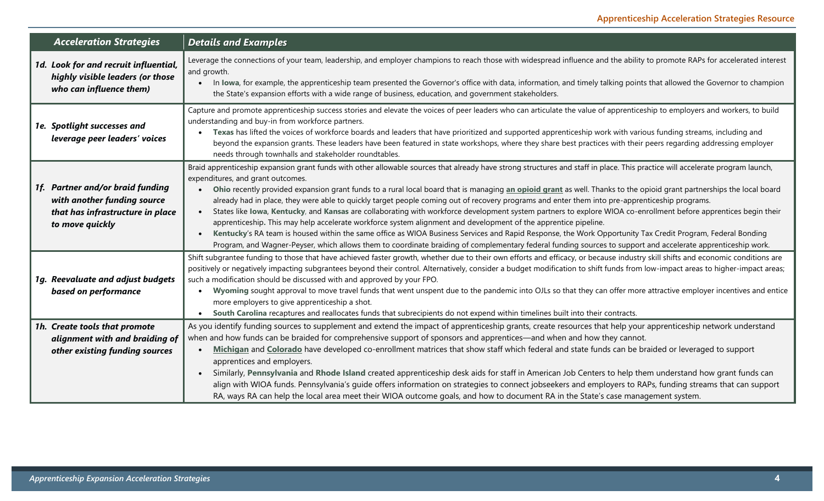| <b>Acceleration Strategies</b>                                                                                         | <b>Details and Examples</b>                                                                                                                                                                                                                                                                                                                                                                                                                                                                                                                                                                                                                                                                                                                                                                                                                                                                                                                                                                                                                                                                                                                                        |
|------------------------------------------------------------------------------------------------------------------------|--------------------------------------------------------------------------------------------------------------------------------------------------------------------------------------------------------------------------------------------------------------------------------------------------------------------------------------------------------------------------------------------------------------------------------------------------------------------------------------------------------------------------------------------------------------------------------------------------------------------------------------------------------------------------------------------------------------------------------------------------------------------------------------------------------------------------------------------------------------------------------------------------------------------------------------------------------------------------------------------------------------------------------------------------------------------------------------------------------------------------------------------------------------------|
| 1d. Look for and recruit influential,<br>highly visible leaders (or those<br>who can influence them)                   | Leverage the connections of your team, leadership, and employer champions to reach those with widespread influence and the ability to promote RAPs for accelerated interest<br>and growth.<br>In lowa, for example, the apprenticeship team presented the Governor's office with data, information, and timely talking points that allowed the Governor to champion<br>the State's expansion efforts with a wide range of business, education, and government stakeholders.                                                                                                                                                                                                                                                                                                                                                                                                                                                                                                                                                                                                                                                                                        |
| 1e. Spotlight successes and<br>leverage peer leaders' voices                                                           | Capture and promote apprenticeship success stories and elevate the voices of peer leaders who can articulate the value of apprenticeship to employers and workers, to build<br>understanding and buy-in from workforce partners.<br>Texas has lifted the voices of workforce boards and leaders that have prioritized and supported apprenticeship work with various funding streams, including and<br>beyond the expansion grants. These leaders have been featured in state workshops, where they share best practices with their peers regarding addressing employer<br>needs through townhalls and stakeholder roundtables.                                                                                                                                                                                                                                                                                                                                                                                                                                                                                                                                    |
| 1f. Partner and/or braid funding<br>with another funding source<br>that has infrastructure in place<br>to move quickly | Braid apprenticeship expansion grant funds with other allowable sources that already have strong structures and staff in place. This practice will accelerate program launch,<br>expenditures, and grant outcomes.<br>Ohio recently provided expansion grant funds to a rural local board that is managing an opioid grant as well. Thanks to the opioid grant partnerships the local board<br>already had in place, they were able to quickly target people coming out of recovery programs and enter them into pre-apprenticeship programs.<br>States like lowa, Kentucky, and Kansas are collaborating with workforce development system partners to explore WIOA co-enrollment before apprentices begin their<br>apprenticeship. This may help accelerate workforce system alignment and development of the apprentice pipeline.<br>Kentucky's RA team is housed within the same office as WIOA Business Services and Rapid Response, the Work Opportunity Tax Credit Program, Federal Bonding<br>Program, and Wagner-Peyser, which allows them to coordinate braiding of complementary federal funding sources to support and accelerate apprenticeship work. |
| 1g. Reevaluate and adjust budgets<br>based on performance                                                              | Shift subgrantee funding to those that have achieved faster growth, whether due to their own efforts and efficacy, or because industry skill shifts and economic conditions are<br>positively or negatively impacting subgrantees beyond their control. Alternatively, consider a budget modification to shift funds from low-impact areas to higher-impact areas;<br>such a modification should be discussed with and approved by your FPO.<br>Wyoming sought approval to move travel funds that went unspent due to the pandemic into OJLs so that they can offer more attractive employer incentives and entice<br>more employers to give apprenticeship a shot.<br>South Carolina recaptures and reallocates funds that subrecipients do not expend within timelines built into their contracts.                                                                                                                                                                                                                                                                                                                                                               |
| 1h. Create tools that promote<br>alignment with and braiding of<br>other existing funding sources                      | As you identify funding sources to supplement and extend the impact of apprenticeship grants, create resources that help your apprenticeship network understand<br>when and how funds can be braided for comprehensive support of sponsors and apprentices—and when and how they cannot.<br>Michigan and Colorado have developed co-enrollment matrices that show staff which federal and state funds can be braided or leveraged to support<br>apprentices and employers.<br>Similarly, Pennsylvania and Rhode Island created apprenticeship desk aids for staff in American Job Centers to help them understand how grant funds can<br>align with WIOA funds. Pennsylvania's guide offers information on strategies to connect jobseekers and employers to RAPs, funding streams that can support<br>RA, ways RA can help the local area meet their WIOA outcome goals, and how to document RA in the State's case management system.                                                                                                                                                                                                                            |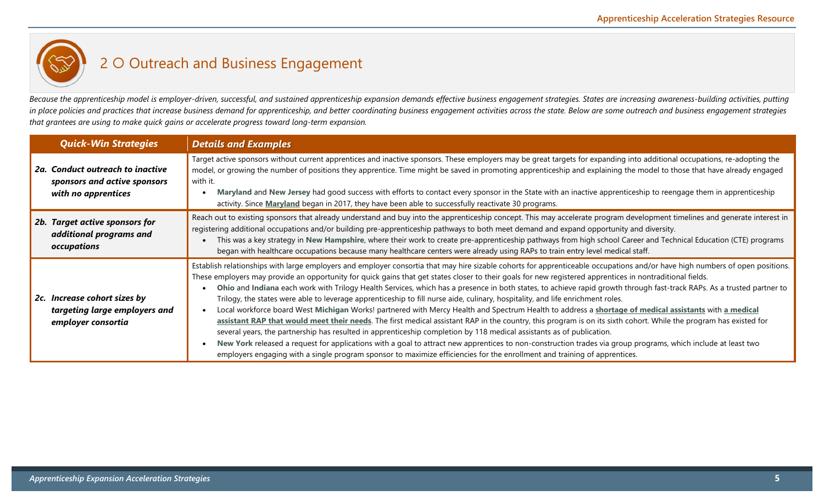

Because the apprenticeship model is employer-driven, successful, and sustained apprenticeship expansion demands effective business engagement strategies. States are increasing awareness-building activities, putting *in place policies and practices that increase business demand for apprenticeship, and better coordinating business engagement activities across the state. Below are some outreach and business engagement strategies that grantees are using to make quick gains or accelerate progress toward long-term expansion.* 

| <b>Quick-Win Strategies</b>                                                             | <b>Details and Examples</b>                                                                                                                                                                                                                                                                                                                                                                                                                                                                                                                                                                                                                                                                                                                                                                                                                                                                                                                                                                                                                                                                                                                                                                                                                                                                                                                                                                                |
|-----------------------------------------------------------------------------------------|------------------------------------------------------------------------------------------------------------------------------------------------------------------------------------------------------------------------------------------------------------------------------------------------------------------------------------------------------------------------------------------------------------------------------------------------------------------------------------------------------------------------------------------------------------------------------------------------------------------------------------------------------------------------------------------------------------------------------------------------------------------------------------------------------------------------------------------------------------------------------------------------------------------------------------------------------------------------------------------------------------------------------------------------------------------------------------------------------------------------------------------------------------------------------------------------------------------------------------------------------------------------------------------------------------------------------------------------------------------------------------------------------------|
| 2a. Conduct outreach to inactive<br>sponsors and active sponsors<br>with no apprentices | Target active sponsors without current apprentices and inactive sponsors. These employers may be great targets for expanding into additional occupations, re-adopting the<br>model, or growing the number of positions they apprentice. Time might be saved in promoting apprenticeship and explaining the model to those that have already engaged<br>with it.<br>Maryland and New Jersey had good success with efforts to contact every sponsor in the State with an inactive apprenticeship to reengage them in apprenticeship<br>activity. Since Maryland began in 2017, they have been able to successfully reactivate 30 programs.                                                                                                                                                                                                                                                                                                                                                                                                                                                                                                                                                                                                                                                                                                                                                                   |
| 2b. Target active sponsors for<br>additional programs and<br>occupations                | Reach out to existing sponsors that already understand and buy into the apprenticeship concept. This may accelerate program development timelines and generate interest in<br>registering additional occupations and/or building pre-apprenticeship pathways to both meet demand and expand opportunity and diversity.<br>This was a key strategy in New Hampshire, where their work to create pre-apprenticeship pathways from high school Career and Technical Education (CTE) programs<br>began with healthcare occupations because many healthcare centers were already using RAPs to train entry level medical staff.                                                                                                                                                                                                                                                                                                                                                                                                                                                                                                                                                                                                                                                                                                                                                                                 |
| 2c. Increase cohort sizes by<br>targeting large employers and<br>employer consortia     | Establish relationships with large employers and employer consortia that may hire sizable cohorts for apprenticeable occupations and/or have high numbers of open positions.<br>These employers may provide an opportunity for quick gains that get states closer to their goals for new registered apprentices in nontraditional fields.<br>Ohio and Indiana each work with Trilogy Health Services, which has a presence in both states, to achieve rapid growth through fast-track RAPs. As a trusted partner to<br>Trilogy, the states were able to leverage apprenticeship to fill nurse aide, culinary, hospitality, and life enrichment roles.<br>Local workforce board West Michigan Works! partnered with Mercy Health and Spectrum Health to address a shortage of medical assistants with a medical<br>assistant RAP that would meet their needs. The first medical assistant RAP in the country, this program is on its sixth cohort. While the program has existed for<br>several years, the partnership has resulted in apprenticeship completion by 118 medical assistants as of publication.<br>New York released a request for applications with a goal to attract new apprentices to non-construction trades via group programs, which include at least two<br>employers engaging with a single program sponsor to maximize efficiencies for the enrollment and training of apprentices. |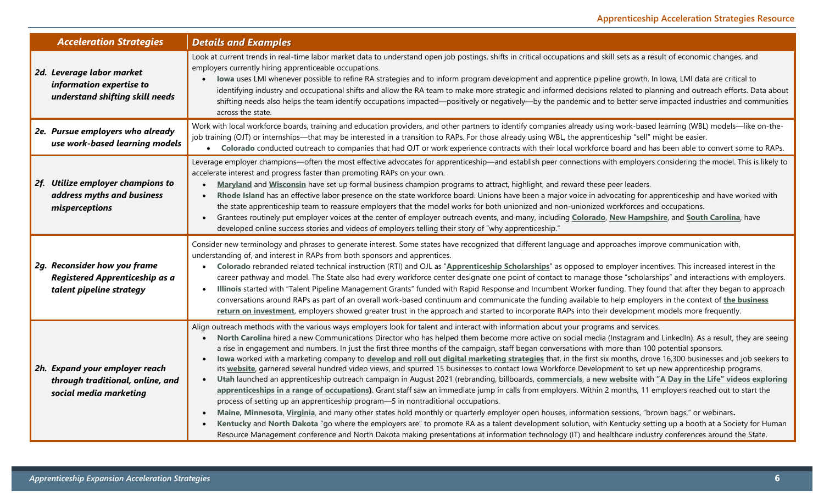| <b>Acceleration Strategies</b>                                                               | <b>Details and Examples</b>                                                                                                                                                                                                                                                                                                                                                                                                                                                                                                                                                                                                                                                                                                                                                                                                                                                                                                                                                                                                                                                                                                                                                                                                                                                                                                                                                                                                                                                                                                                                                                                                                                                                                                   |
|----------------------------------------------------------------------------------------------|-------------------------------------------------------------------------------------------------------------------------------------------------------------------------------------------------------------------------------------------------------------------------------------------------------------------------------------------------------------------------------------------------------------------------------------------------------------------------------------------------------------------------------------------------------------------------------------------------------------------------------------------------------------------------------------------------------------------------------------------------------------------------------------------------------------------------------------------------------------------------------------------------------------------------------------------------------------------------------------------------------------------------------------------------------------------------------------------------------------------------------------------------------------------------------------------------------------------------------------------------------------------------------------------------------------------------------------------------------------------------------------------------------------------------------------------------------------------------------------------------------------------------------------------------------------------------------------------------------------------------------------------------------------------------------------------------------------------------------|
| 2d. Leverage labor market<br>information expertise to<br>understand shifting skill needs     | Look at current trends in real-time labor market data to understand open job postings, shifts in critical occupations and skill sets as a result of economic changes, and<br>employers currently hiring apprenticeable occupations.<br>Iowa uses LMI whenever possible to refine RA strategies and to inform program development and apprentice pipeline growth. In Iowa, LMI data are critical to<br>identifying industry and occupational shifts and allow the RA team to make more strategic and informed decisions related to planning and outreach efforts. Data about<br>shifting needs also helps the team identify occupations impacted—positively or negatively—by the pandemic and to better serve impacted industries and communities<br>across the state.                                                                                                                                                                                                                                                                                                                                                                                                                                                                                                                                                                                                                                                                                                                                                                                                                                                                                                                                                         |
| 2e. Pursue employers who already<br>use work-based learning models                           | Work with local workforce boards, training and education providers, and other partners to identify companies already using work-based learning (WBL) models—like on-the-<br>job training (OJT) or internships—that may be interested in a transition to RAPs. For those already using WBL, the apprenticeship "sell" might be easier.<br>• Colorado conducted outreach to companies that had OJT or work experience contracts with their local workforce board and has been able to convert some to RAPs.                                                                                                                                                                                                                                                                                                                                                                                                                                                                                                                                                                                                                                                                                                                                                                                                                                                                                                                                                                                                                                                                                                                                                                                                                     |
| 2f. Utilize employer champions to<br>address myths and business<br>misperceptions            | Leverage employer champions—often the most effective advocates for apprenticeship—and establish peer connections with employers considering the model. This is likely to<br>accelerate interest and progress faster than promoting RAPs on your own.<br>Maryland and Wisconsin have set up formal business champion programs to attract, highlight, and reward these peer leaders.<br>Rhode Island has an effective labor presence on the state workforce board. Unions have been a major voice in advocating for apprenticeship and have worked with<br>the state apprenticeship team to reassure employers that the model works for both unionized and non-unionized workforces and occupations.<br>Grantees routinely put employer voices at the center of employer outreach events, and many, including Colorado, New Hampshire, and South Carolina, have<br>developed online success stories and videos of employers telling their story of "why apprenticeship."                                                                                                                                                                                                                                                                                                                                                                                                                                                                                                                                                                                                                                                                                                                                                        |
| 2g. Reconsider how you frame<br>Registered Apprenticeship as a<br>talent pipeline strategy   | Consider new terminology and phrases to generate interest. Some states have recognized that different language and approaches improve communication with,<br>understanding of, and interest in RAPs from both sponsors and apprentices.<br>Colorado rebranded related technical instruction (RTI) and OJL as "Apprenticeship Scholarships" as opposed to employer incentives. This increased interest in the<br>career pathway and model. The State also had every workforce center designate one point of contact to manage those "scholarships" and interactions with employers.<br>Illinois started with "Talent Pipeline Management Grants" funded with Rapid Response and Incumbent Worker funding. They found that after they began to approach<br>conversations around RAPs as part of an overall work-based continuum and communicate the funding available to help employers in the context of the business<br>return on investment, employers showed greater trust in the approach and started to incorporate RAPs into their development models more frequently.                                                                                                                                                                                                                                                                                                                                                                                                                                                                                                                                                                                                                                                   |
| 2h. Expand your employer reach<br>through traditional, online, and<br>social media marketing | Align outreach methods with the various ways employers look for talent and interact with information about your programs and services.<br>North Carolina hired a new Communications Director who has helped them become more active on social media (Instagram and LinkedIn). As a result, they are seeing<br>a rise in engagement and numbers. In just the first three months of the campaign, staff began conversations with more than 100 potential sponsors.<br>Iowa worked with a marketing company to develop and roll out digital marketing strategies that, in the first six months, drove 16,300 businesses and job seekers to<br>its website, garnered several hundred video views, and spurred 15 businesses to contact lowa Workforce Development to set up new apprenticeship programs.<br>Utah launched an apprenticeship outreach campaign in August 2021 (rebranding, billboards, commercials, a new website with "A Day in the Life" videos exploring<br>$\bullet$<br>apprenticeships in a range of occupations). Grant staff saw an immediate jump in calls from employers. Within 2 months, 11 employers reached out to start the<br>process of setting up an apprenticeship program-5 in nontraditional occupations.<br>Maine, Minnesota, Virginia, and many other states hold monthly or quarterly employer open houses, information sessions, "brown bags," or webinars.<br>Kentucky and North Dakota "go where the employers are" to promote RA as a talent development solution, with Kentucky setting up a booth at a Society for Human<br>Resource Management conference and North Dakota making presentations at information technology (IT) and healthcare industry conferences around the State. |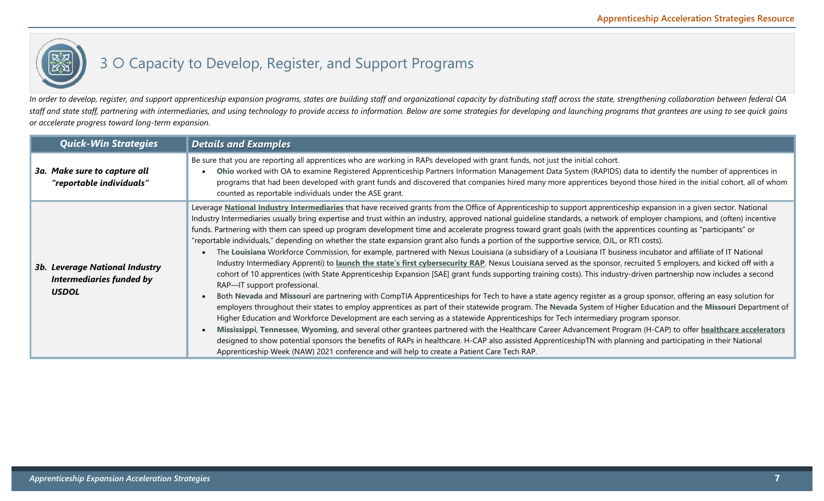

## 3 O Capacity to Develop, Register, and Support Programs

In order to develop, register, and support apprenticeship expansion programs, states are building staff and organizational capacity by distributing staff across the state, strengthening collaboration between federal OA *staff and state staff, partnering with intermediaries, and using technology to provide access to information. Below are some strategies for developing and launching programs that grantees are using to see quick gains or accelerate progress toward long-term expansion.* 

| <b>Quick-Win Strategies</b>                                                              | <b>Details and Examples</b>                                                                                                                                                                                                                                                                                                                                                                                                                                                                                                                                                                                                                                                                                                                                                                                                                                                                                                                                                                                                                                                                                                                                                                                                                                                                                                                                                                                                                                                                                                                                                                                                                                                                                                                                                                                                                                                                                                                                                                                                                                                                                                          |
|------------------------------------------------------------------------------------------|--------------------------------------------------------------------------------------------------------------------------------------------------------------------------------------------------------------------------------------------------------------------------------------------------------------------------------------------------------------------------------------------------------------------------------------------------------------------------------------------------------------------------------------------------------------------------------------------------------------------------------------------------------------------------------------------------------------------------------------------------------------------------------------------------------------------------------------------------------------------------------------------------------------------------------------------------------------------------------------------------------------------------------------------------------------------------------------------------------------------------------------------------------------------------------------------------------------------------------------------------------------------------------------------------------------------------------------------------------------------------------------------------------------------------------------------------------------------------------------------------------------------------------------------------------------------------------------------------------------------------------------------------------------------------------------------------------------------------------------------------------------------------------------------------------------------------------------------------------------------------------------------------------------------------------------------------------------------------------------------------------------------------------------------------------------------------------------------------------------------------------------|
| 3a. Make sure to capture all<br>"reportable individuals"                                 | Be sure that you are reporting all apprentices who are working in RAPs developed with grant funds, not just the initial cohort.<br>Ohio worked with OA to examine Registered Apprenticeship Partners Information Management Data System (RAPIDS) data to identify the number of apprentices in<br>programs that had been developed with grant funds and discovered that companies hired many more apprentices beyond those hired in the initial cohort, all of whom<br>counted as reportable individuals under the ASE grant.                                                                                                                                                                                                                                                                                                                                                                                                                                                                                                                                                                                                                                                                                                                                                                                                                                                                                                                                                                                                                                                                                                                                                                                                                                                                                                                                                                                                                                                                                                                                                                                                        |
| <b>3b. Leverage National Industry</b><br><b>Intermediaries funded by</b><br><b>USDOL</b> | Leverage National Industry Intermediaries that have received grants from the Office of Apprenticeship to support apprenticeship expansion in a given sector. National<br>Industry Intermediaries usually bring expertise and trust within an industry, approved national guideline standards, a network of employer champions, and (often) incentive<br>funds. Partnering with them can speed up program development time and accelerate progress toward grant goals (with the apprentices counting as "participants" or<br>"reportable individuals," depending on whether the state expansion grant also funds a portion of the supportive service, OJL, or RTI costs).<br>The Louisiana Workforce Commission, for example, partnered with Nexus Louisiana (a subsidiary of a Louisiana IT business incubator and affiliate of IT National<br>Industry Intermediary Apprenti) to launch the state's first cybersecurity RAP. Nexus Louisiana served as the sponsor, recruited 5 employers, and kicked off with a<br>cohort of 10 apprentices (with State Apprenticeship Expansion [SAE] grant funds supporting training costs). This industry-driven partnership now includes a second<br>RAP-IT support professional.<br>Both Nevada and Missouri are partnering with CompTIA Apprenticeships for Tech to have a state agency register as a group sponsor, offering an easy solution for<br>employers throughout their states to employ apprentices as part of their statewide program. The Nevada System of Higher Education and the Missouri Department of<br>Higher Education and Workforce Development are each serving as a statewide Apprenticeships for Tech intermediary program sponsor.<br>Mississippi, Tennessee, Wyoming, and several other grantees partnered with the Healthcare Career Advancement Program (H-CAP) to offer healthcare accelerators<br>designed to show potential sponsors the benefits of RAPs in healthcare. H-CAP also assisted ApprenticeshipTN with planning and participating in their National<br>Apprenticeship Week (NAW) 2021 conference and will help to create a Patient Care Tech RAP. |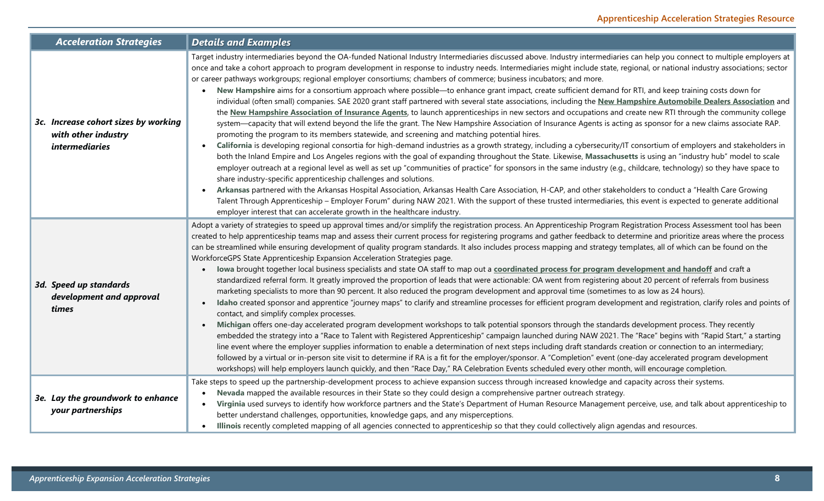| <b>Acceleration Strategies</b>                                                       | <b>Details and Examples</b>                                                                                                                                                                                                                                                                                                                                                                                                                                                                                                                                                                                                                                                                                                                                                                                                                                                                                                                                                                                                                                                                                                                                                                                                                                                                                                                                                                                                                                                                                                                                                                                                                                                                                                                                                                                                                                                                                                                                                                                                                                                                                                                                                                                                                                           |
|--------------------------------------------------------------------------------------|-----------------------------------------------------------------------------------------------------------------------------------------------------------------------------------------------------------------------------------------------------------------------------------------------------------------------------------------------------------------------------------------------------------------------------------------------------------------------------------------------------------------------------------------------------------------------------------------------------------------------------------------------------------------------------------------------------------------------------------------------------------------------------------------------------------------------------------------------------------------------------------------------------------------------------------------------------------------------------------------------------------------------------------------------------------------------------------------------------------------------------------------------------------------------------------------------------------------------------------------------------------------------------------------------------------------------------------------------------------------------------------------------------------------------------------------------------------------------------------------------------------------------------------------------------------------------------------------------------------------------------------------------------------------------------------------------------------------------------------------------------------------------------------------------------------------------------------------------------------------------------------------------------------------------------------------------------------------------------------------------------------------------------------------------------------------------------------------------------------------------------------------------------------------------------------------------------------------------------------------------------------------------|
| 3c. Increase cohort sizes by working<br>with other industry<br><i>intermediaries</i> | Target industry intermediaries beyond the OA-funded National Industry Intermediaries discussed above. Industry intermediaries can help you connect to multiple employers at<br>once and take a cohort approach to program development in response to industry needs. Intermediaries might include state, regional, or national industry associations; sector<br>or career pathways workgroups; regional employer consortiums; chambers of commerce; business incubators; and more.<br>New Hampshire aims for a consortium approach where possible-to enhance grant impact, create sufficient demand for RTI, and keep training costs down for<br>individual (often small) companies. SAE 2020 grant staff partnered with several state associations, including the New Hampshire Automobile Dealers Association and<br>the New Hampshire Association of Insurance Agents, to launch apprenticeships in new sectors and occupations and create new RTI through the community college<br>system—capacity that will extend beyond the life the grant. The New Hampshire Association of Insurance Agents is acting as sponsor for a new claims associate RAP.<br>promoting the program to its members statewide, and screening and matching potential hires.<br>California is developing regional consortia for high-demand industries as a growth strategy, including a cybersecurity/IT consortium of employers and stakeholders in<br>both the Inland Empire and Los Angeles regions with the goal of expanding throughout the State. Likewise, Massachusetts is using an "industry hub" model to scale<br>employer outreach at a regional level as well as set up "communities of practice" for sponsors in the same industry (e.g., childcare, technology) so they have space to<br>share industry-specific apprenticeship challenges and solutions.<br>Arkansas partnered with the Arkansas Hospital Association, Arkansas Health Care Association, H-CAP, and other stakeholders to conduct a "Health Care Growing<br>Talent Through Apprenticeship - Employer Forum" during NAW 2021. With the support of these trusted intermediaries, this event is expected to generate additional<br>employer interest that can accelerate growth in the healthcare industry. |
| 3d. Speed up standards<br>development and approval<br>times                          | Adopt a variety of strategies to speed up approval times and/or simplify the registration process. An Apprenticeship Program Registration Process Assessment tool has been<br>created to help apprenticeship teams map and assess their current process for registering programs and gather feedback to determine and prioritize areas where the process<br>can be streamlined while ensuring development of quality program standards. It also includes process mapping and strategy templates, all of which can be found on the<br>WorkforceGPS State Apprenticeship Expansion Acceleration Strategies page.<br>lowa brought together local business specialists and state OA staff to map out a coordinated process for program development and handoff and craft a<br>standardized referral form. It greatly improved the proportion of leads that were actionable: OA went from registering about 20 percent of referrals from business<br>marketing specialists to more than 90 percent. It also reduced the program development and approval time (sometimes to as low as 24 hours).<br>Idaho created sponsor and apprentice "journey maps" to clarify and streamline processes for efficient program development and registration, clarify roles and points of<br>$\bullet$<br>contact, and simplify complex processes.<br>Michigan offers one-day accelerated program development workshops to talk potential sponsors through the standards development process. They recently<br>$\bullet$<br>embedded the strategy into a "Race to Talent with Registered Apprenticeship" campaign launched during NAW 2021. The "Race" begins with "Rapid Start," a starting<br>line event where the employer supplies information to enable a determination of next steps including draft standards creation or connection to an intermediary;<br>followed by a virtual or in-person site visit to determine if RA is a fit for the employer/sponsor. A "Completion" event (one-day accelerated program development<br>workshops) will help employers launch quickly, and then "Race Day," RA Celebration Events scheduled every other month, will encourage completion.                                                                                                |
| 3e. Lay the groundwork to enhance<br>your partnerships                               | Take steps to speed up the partnership-development process to achieve expansion success through increased knowledge and capacity across their systems.<br>Nevada mapped the available resources in their State so they could design a comprehensive partner outreach strategy.<br>Virginia used surveys to identify how workforce partners and the State's Department of Human Resource Management perceive, use, and talk about apprenticeship to<br>$\bullet$<br>better understand challenges, opportunities, knowledge gaps, and any misperceptions.<br>Illinois recently completed mapping of all agencies connected to apprenticeship so that they could collectively align agendas and resources.<br>$\bullet$                                                                                                                                                                                                                                                                                                                                                                                                                                                                                                                                                                                                                                                                                                                                                                                                                                                                                                                                                                                                                                                                                                                                                                                                                                                                                                                                                                                                                                                                                                                                                  |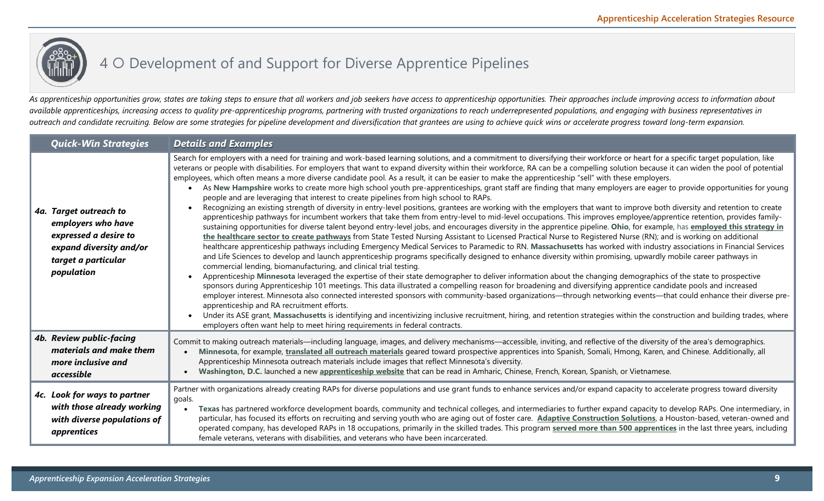# 4 O Development of and Support for Diverse Apprentice Pipelines

*As apprenticeship opportunities grow, states are taking steps to ensure that all workers and job seekers have access to apprenticeship opportunities. Their approaches include improving access to information about available apprenticeships, increasing access to quality pre-apprenticeship programs, partnering with trusted organizations to reach underrepresented populations, and engaging with business representatives in outreach and candidate recruiting. Below are some strategies for pipeline development and diversification that grantees are using to achieve quick wins or accelerate progress toward long-term expansion.* 

| <b>Quick-Win Strategies</b>                                                                                                           | <b>Details and Examples</b>                                                                                                                                                                                                                                                                                                                                                                                                                                                                                                                                                                                                                                                                                                                                                                                                                                                                                                                                                                                                                                                                                                                                                                                                                                                                                                                                                                                                                                                                                                                                                                                                                                                                                                                                                                                                                                                                                                                                                                                                                                                                                                                                                                                                                                                                                                                                                                                                                                                                                                                                                                                                                                                                                                                          |
|---------------------------------------------------------------------------------------------------------------------------------------|------------------------------------------------------------------------------------------------------------------------------------------------------------------------------------------------------------------------------------------------------------------------------------------------------------------------------------------------------------------------------------------------------------------------------------------------------------------------------------------------------------------------------------------------------------------------------------------------------------------------------------------------------------------------------------------------------------------------------------------------------------------------------------------------------------------------------------------------------------------------------------------------------------------------------------------------------------------------------------------------------------------------------------------------------------------------------------------------------------------------------------------------------------------------------------------------------------------------------------------------------------------------------------------------------------------------------------------------------------------------------------------------------------------------------------------------------------------------------------------------------------------------------------------------------------------------------------------------------------------------------------------------------------------------------------------------------------------------------------------------------------------------------------------------------------------------------------------------------------------------------------------------------------------------------------------------------------------------------------------------------------------------------------------------------------------------------------------------------------------------------------------------------------------------------------------------------------------------------------------------------------------------------------------------------------------------------------------------------------------------------------------------------------------------------------------------------------------------------------------------------------------------------------------------------------------------------------------------------------------------------------------------------------------------------------------------------------------------------------------------------|
| 4a. Target outreach to<br>employers who have<br>expressed a desire to<br>expand diversity and/or<br>target a particular<br>population | Search for employers with a need for training and work-based learning solutions, and a commitment to diversifying their workforce or heart for a specific target population, like<br>veterans or people with disabilities. For employers that want to expand diversity within their workforce, RA can be a compelling solution because it can widen the pool of potential<br>employees, which often means a more diverse candidate pool. As a result, it can be easier to make the apprenticeship "sell" with these employers.<br>As New Hampshire works to create more high school youth pre-apprenticeships, grant staff are finding that many employers are eager to provide opportunities for young<br>people and are leveraging that interest to create pipelines from high school to RAPs.<br>Recognizing an existing strength of diversity in entry-level positions, grantees are working with the employers that want to improve both diversity and retention to create<br>apprenticeship pathways for incumbent workers that take them from entry-level to mid-level occupations. This improves employee/apprentice retention, provides family-<br>sustaining opportunities for diverse talent beyond entry-level jobs, and encourages diversity in the apprentice pipeline. Ohio, for example, has employed this strategy in<br>the healthcare sector to create pathways from State Tested Nursing Assistant to Licensed Practical Nurse to Registered Nurse (RN); and is working on additional<br>healthcare apprenticeship pathways including Emergency Medical Services to Paramedic to RN. Massachusetts has worked with industry associations in Financial Services<br>and Life Sciences to develop and launch apprenticeship programs specifically designed to enhance diversity within promising, upwardly mobile career pathways in<br>commercial lending, biomanufacturing, and clinical trial testing.<br>Apprenticeship Minnesota leveraged the expertise of their state demographer to deliver information about the changing demographics of the state to prospective<br>sponsors during Apprenticeship 101 meetings. This data illustrated a compelling reason for broadening and diversifying apprentice candidate pools and increased<br>employer interest. Minnesota also connected interested sponsors with community-based organizations-through networking events-that could enhance their diverse pre-<br>apprenticeship and RA recruitment efforts.<br>Under its ASE grant, Massachusetts is identifying and incentivizing inclusive recruitment, hiring, and retention strategies within the construction and building trades, where<br>employers often want help to meet hiring requirements in federal contracts. |
| 4b. Review public-facing<br>materials and make them<br>more inclusive and<br>accessible                                               | Commit to making outreach materials—including language, images, and delivery mechanisms—accessible, inviting, and reflective of the diversity of the area's demographics.<br>Minnesota, for example, translated all outreach materials geared toward prospective apprentices into Spanish, Somali, Hmong, Karen, and Chinese. Additionally, all<br>Apprenticeship Minnesota outreach materials include images that reflect Minnesota's diversity.<br>Washington, D.C. launched a new apprenticeship website that can be read in Amharic, Chinese, French, Korean, Spanish, or Vietnamese.                                                                                                                                                                                                                                                                                                                                                                                                                                                                                                                                                                                                                                                                                                                                                                                                                                                                                                                                                                                                                                                                                                                                                                                                                                                                                                                                                                                                                                                                                                                                                                                                                                                                                                                                                                                                                                                                                                                                                                                                                                                                                                                                                            |
| 4c. Look for ways to partner<br>with those already working<br>with diverse populations of<br>apprentices                              | Partner with organizations already creating RAPs for diverse populations and use grant funds to enhance services and/or expand capacity to accelerate progress toward diversity<br>goals.<br>Texas has partnered workforce development boards, community and technical colleges, and intermediaries to further expand capacity to develop RAPs. One intermediary, in<br>particular, has focused its efforts on recruiting and serving youth who are aging out of foster care. Adaptive Construction Solutions, a Houston-based, veteran-owned and<br>operated company, has developed RAPs in 18 occupations, primarily in the skilled trades. This program served more than 500 apprentices in the last three years, including<br>female veterans, veterans with disabilities, and veterans who have been incarcerated.                                                                                                                                                                                                                                                                                                                                                                                                                                                                                                                                                                                                                                                                                                                                                                                                                                                                                                                                                                                                                                                                                                                                                                                                                                                                                                                                                                                                                                                                                                                                                                                                                                                                                                                                                                                                                                                                                                                              |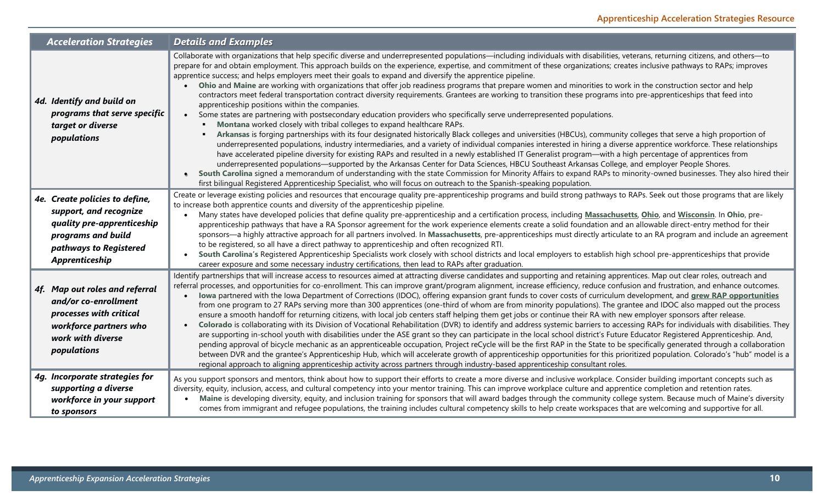| <b>Acceleration Strategies</b>                                                                                                                           | <b>Details and Examples</b>                                                                                                                                                                                                                                                                                                                                                                                                                                                                                                                                                                                                                                                                                                                                                                                                                                                                                                                                                                                                                                                                                                                                                                                                                                                                                                                                                                                                                                                                                                                                                                                                                                                                                                                                                                                                                                                                                                                                                                                                           |
|----------------------------------------------------------------------------------------------------------------------------------------------------------|---------------------------------------------------------------------------------------------------------------------------------------------------------------------------------------------------------------------------------------------------------------------------------------------------------------------------------------------------------------------------------------------------------------------------------------------------------------------------------------------------------------------------------------------------------------------------------------------------------------------------------------------------------------------------------------------------------------------------------------------------------------------------------------------------------------------------------------------------------------------------------------------------------------------------------------------------------------------------------------------------------------------------------------------------------------------------------------------------------------------------------------------------------------------------------------------------------------------------------------------------------------------------------------------------------------------------------------------------------------------------------------------------------------------------------------------------------------------------------------------------------------------------------------------------------------------------------------------------------------------------------------------------------------------------------------------------------------------------------------------------------------------------------------------------------------------------------------------------------------------------------------------------------------------------------------------------------------------------------------------------------------------------------------|
| 4d. Identify and build on<br>programs that serve specific<br>target or diverse<br>populations                                                            | Collaborate with organizations that help specific diverse and underrepresented populations-including individuals with disabilities, veterans, returning citizens, and others-to<br>prepare for and obtain employment. This approach builds on the experience, expertise, and commitment of these organizations; creates inclusive pathways to RAPs; improves<br>apprentice success; and helps employers meet their goals to expand and diversify the apprentice pipeline.<br>Ohio and Maine are working with organizations that offer job readiness programs that prepare women and minorities to work in the construction sector and help<br>contractors meet federal transportation contract diversity requirements. Grantees are working to transition these programs into pre-apprenticeships that feed into<br>apprenticeship positions within the companies.<br>Some states are partnering with postsecondary education providers who specifically serve underrepresented populations.<br>Montana worked closely with tribal colleges to expand healthcare RAPs.<br>Arkansas is forging partnerships with its four designated historically Black colleges and universities (HBCUs), community colleges that serve a high proportion of<br>underrepresented populations, industry intermediaries, and a variety of individual companies interested in hiring a diverse apprentice workforce. These relationships<br>have accelerated pipeline diversity for existing RAPs and resulted in a newly established IT Generalist program—with a high percentage of apprentices from<br>underrepresented populations—supported by the Arkansas Center for Data Sciences, HBCU Southeast Arkansas College, and employer People Shores.<br>South Carolina signed a memorandum of understanding with the state Commission for Minority Affairs to expand RAPs to minority-owned businesses. They also hired their<br>first bilingual Registered Apprenticeship Specialist, who will focus on outreach to the Spanish-speaking population. |
| 4e. Create policies to define,<br>support, and recognize<br>quality pre-apprenticeship<br>programs and build<br>pathways to Registered<br>Apprenticeship | Create or leverage existing policies and resources that encourage quality pre-apprenticeship programs and build strong pathways to RAPs. Seek out those programs that are likely<br>to increase both apprentice counts and diversity of the apprenticeship pipeline.<br>Many states have developed policies that define quality pre-apprenticeship and a certification process, including Massachusetts, Ohio, and Wisconsin. In Ohio, pre-<br>apprenticeship pathways that have a RA Sponsor agreement for the work experience elements create a solid foundation and an allowable direct-entry method for their<br>sponsors—a highly attractive approach for all partners involved. In Massachusetts, pre-apprenticeships must directly articulate to an RA program and include an agreement<br>to be registered, so all have a direct pathway to apprenticeship and often recognized RTI.<br>South Carolina's Registered Apprenticeship Specialists work closely with school districts and local employers to establish high school pre-apprenticeships that provide<br>career exposure and some necessary industry certifications, then lead to RAPs after graduation.                                                                                                                                                                                                                                                                                                                                                                                                                                                                                                                                                                                                                                                                                                                                                                                                                                                            |
| 4f. Map out roles and referral<br>and/or co-enrollment<br>processes with critical<br>workforce partners who<br>work with diverse<br>populations          | Identify partnerships that will increase access to resources aimed at attracting diverse candidates and supporting and retaining apprentices. Map out clear roles, outreach and<br>referral processes, and opportunities for co-enrollment. This can improve grant/program alignment, increase efficiency, reduce confusion and frustration, and enhance outcomes.<br>lowa partnered with the lowa Department of Corrections (IDOC), offering expansion grant funds to cover costs of curriculum development, and grew RAP opportunities<br>from one program to 27 RAPs serving more than 300 apprentices (one-third of whom are from minority populations). The grantee and IDOC also mapped out the process<br>ensure a smooth handoff for returning citizens, with local job centers staff helping them get jobs or continue their RA with new employer sponsors after release.<br>Colorado is collaborating with its Division of Vocational Rehabilitation (DVR) to identify and address systemic barriers to accessing RAPs for individuals with disabilities. They<br>$\bullet$<br>are supporting in-school youth with disabilities under the ASE grant so they can participate in the local school district's Future Educator Registered Apprenticeship. And,<br>pending approval of bicycle mechanic as an apprenticeable occupation, Project reCycle will be the first RAP in the State to be specifically generated through a collaboration<br>between DVR and the grantee's Apprenticeship Hub, which will accelerate growth of apprenticeship opportunities for this prioritized population. Colorado's "hub" model is a<br>regional approach to aligning apprenticeship activity across partners through industry-based apprenticeship consultant roles.                                                                                                                                                                                                                                                                 |
| 4g. Incorporate strategies for<br>supporting a diverse<br>workforce in your support<br>to sponsors                                                       | As you support sponsors and mentors, think about how to support their efforts to create a more diverse and inclusive workplace. Consider building important concepts such as<br>diversity, equity, inclusion, access, and cultural competency into your mentor training. This can improve workplace culture and apprentice completion and retention rates.<br>Maine is developing diversity, equity, and inclusion training for sponsors that will award badges through the community college system. Because much of Maine's diversity<br>comes from immigrant and refugee populations, the training includes cultural competency skills to help create workspaces that are welcoming and supportive for all.                                                                                                                                                                                                                                                                                                                                                                                                                                                                                                                                                                                                                                                                                                                                                                                                                                                                                                                                                                                                                                                                                                                                                                                                                                                                                                                        |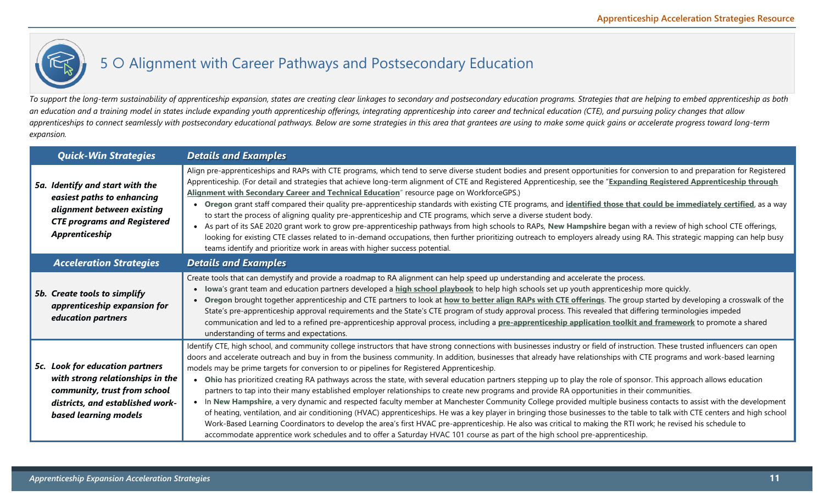# 5 O Alignment with Career Pathways and Postsecondary Education

*To support the long-term sustainability of apprenticeship expansion, states are creating clear linkages to secondary and postsecondary education programs. Strategies that are helping to embed apprenticeship as both an education and a training model in states include expanding youth apprenticeship offerings, integrating apprenticeship into career and technical education (CTE), and pursuing policy changes that allow apprenticeships to connect seamlessly with postsecondary educational pathways. Below are some strategies in this area that grantees are using to make some quick gains or accelerate progress toward long-term expansion.* 

| <b>Quick-Win Strategies</b>                                                                                                                                      | <b>Details and Examples</b>                                                                                                                                                                                                                                                                                                                                                                                                                                                                                                                                                                                                                                                                                                                                                                                                                                                                                                                                                                                                                                                                                                                                                                                                                                                                                                                                                                                                          |
|------------------------------------------------------------------------------------------------------------------------------------------------------------------|--------------------------------------------------------------------------------------------------------------------------------------------------------------------------------------------------------------------------------------------------------------------------------------------------------------------------------------------------------------------------------------------------------------------------------------------------------------------------------------------------------------------------------------------------------------------------------------------------------------------------------------------------------------------------------------------------------------------------------------------------------------------------------------------------------------------------------------------------------------------------------------------------------------------------------------------------------------------------------------------------------------------------------------------------------------------------------------------------------------------------------------------------------------------------------------------------------------------------------------------------------------------------------------------------------------------------------------------------------------------------------------------------------------------------------------|
| 5a. Identify and start with the<br>easiest paths to enhancing<br>alignment between existing<br><b>CTE programs and Registered</b><br>Apprenticeship              | Align pre-apprenticeships and RAPs with CTE programs, which tend to serve diverse student bodies and present opportunities for conversion to and preparation for Registered<br>Apprenticeship. (For detail and strategies that achieve long-term alignment of CTE and Registered Apprenticeship, see the "Expanding Registered Apprenticeship through<br>Alignment with Secondary Career and Technical Education" resource page on WorkforceGPS.)<br>Oregon grant staff compared their quality pre-apprenticeship standards with existing CTE programs, and identified those that could be immediately certified, as a way<br>to start the process of aligning quality pre-apprenticeship and CTE programs, which serve a diverse student body.<br>• As part of its SAE 2020 grant work to grow pre-apprenticeship pathways from high schools to RAPs, New Hampshire began with a review of high school CTE offerings,<br>looking for existing CTE classes related to in-demand occupations, then further prioritizing outreach to employers already using RA. This strategic mapping can help busy<br>teams identify and prioritize work in areas with higher success potential.                                                                                                                                                                                                                                                    |
| <b>Acceleration Strategies</b>                                                                                                                                   | <b>Details and Examples</b>                                                                                                                                                                                                                                                                                                                                                                                                                                                                                                                                                                                                                                                                                                                                                                                                                                                                                                                                                                                                                                                                                                                                                                                                                                                                                                                                                                                                          |
| 5b. Create tools to simplify<br>apprenticeship expansion for<br>education partners                                                                               | Create tools that can demystify and provide a roadmap to RA alignment can help speed up understanding and accelerate the process.<br>lowa's grant team and education partners developed a <b>high school playbook</b> to help high schools set up youth apprenticeship more quickly.<br>Oregon brought together apprenticeship and CTE partners to look at how to better align RAPs with CTE offerings. The group started by developing a crosswalk of the<br>State's pre-apprenticeship approval requirements and the State's CTE program of study approval process. This revealed that differing terminologies impeded<br>communication and led to a refined pre-apprenticeship approval process, including a pre-apprenticeship application toolkit and framework to promote a shared<br>understanding of terms and expectations.                                                                                                                                                                                                                                                                                                                                                                                                                                                                                                                                                                                                 |
| 5c. Look for education partners<br>with strong relationships in the<br>community, trust from school<br>districts, and established work-<br>based learning models | Identify CTE, high school, and community college instructors that have strong connections with businesses industry or field of instruction. These trusted influencers can open<br>doors and accelerate outreach and buy in from the business community. In addition, businesses that already have relationships with CTE programs and work-based learning<br>models may be prime targets for conversion to or pipelines for Registered Apprenticeship.<br>Ohio has prioritized creating RA pathways across the state, with several education partners stepping up to play the role of sponsor. This approach allows education<br>partners to tap into their many established employer relationships to create new programs and provide RA opportunities in their communities.<br>• In New Hampshire, a very dynamic and respected faculty member at Manchester Community College provided multiple business contacts to assist with the development<br>of heating, ventilation, and air conditioning (HVAC) apprenticeships. He was a key player in bringing those businesses to the table to talk with CTE centers and high school<br>Work-Based Learning Coordinators to develop the area's first HVAC pre-apprenticeship. He also was critical to making the RTI work; he revised his schedule to<br>accommodate apprentice work schedules and to offer a Saturday HVAC 101 course as part of the high school pre-apprenticeship. |